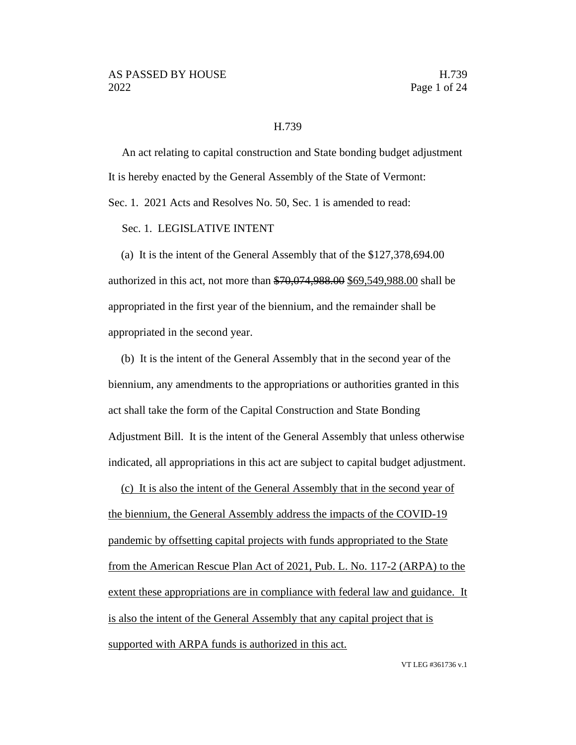#### H.739

An act relating to capital construction and State bonding budget adjustment It is hereby enacted by the General Assembly of the State of Vermont:

Sec. 1. 2021 Acts and Resolves No. 50, Sec. 1 is amended to read:

Sec. 1. LEGISLATIVE INTENT

(a) It is the intent of the General Assembly that of the \$127,378,694.00 authorized in this act, not more than \$70,074,988.00 \$69,549,988.00 shall be appropriated in the first year of the biennium, and the remainder shall be appropriated in the second year.

(b) It is the intent of the General Assembly that in the second year of the biennium, any amendments to the appropriations or authorities granted in this act shall take the form of the Capital Construction and State Bonding Adjustment Bill. It is the intent of the General Assembly that unless otherwise indicated, all appropriations in this act are subject to capital budget adjustment.

(c) It is also the intent of the General Assembly that in the second year of the biennium, the General Assembly address the impacts of the COVID-19 pandemic by offsetting capital projects with funds appropriated to the State from the American Rescue Plan Act of 2021, Pub. L. No. 117-2 (ARPA) to the extent these appropriations are in compliance with federal law and guidance. It is also the intent of the General Assembly that any capital project that is supported with ARPA funds is authorized in this act.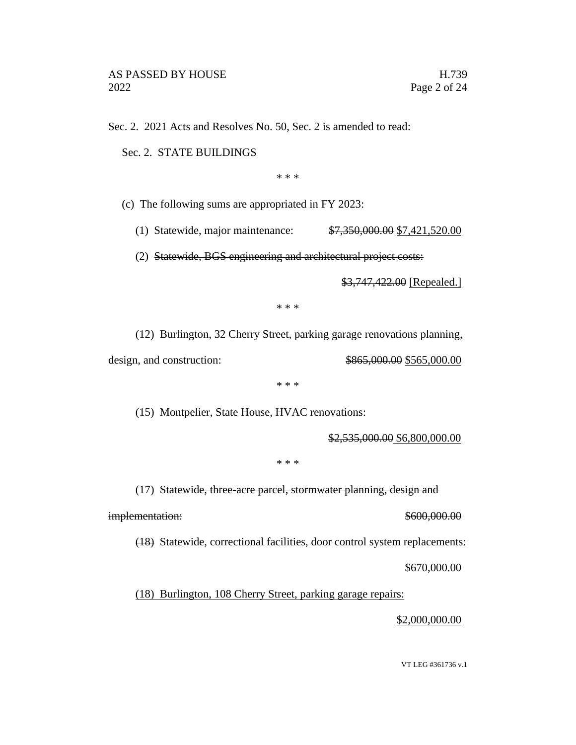Sec. 2. 2021 Acts and Resolves No. 50, Sec. 2 is amended to read:

Sec. 2. STATE BUILDINGS

\* \* \*

(c) The following sums are appropriated in FY 2023:

(1) Statewide, major maintenance: \$7,350,000.00 \$7,421,520.00

(2) Statewide, BGS engineering and architectural project costs:

\$3,747,422.00 [Repealed.]

\* \* \*

(12) Burlington, 32 Cherry Street, parking garage renovations planning,

design, and construction: \$865,000.00 \$565,000.00

\* \* \*

(15) Montpelier, State House, HVAC renovations:

\$2,535,000.00 \$6,800,000.00

\* \* \*

(17) Statewide, three-acre parcel, stormwater planning, design and

implementation:  $$600,000.00$ 

(18) Statewide, correctional facilities, door control system replacements:

\$670,000.00

(18) Burlington, 108 Cherry Street, parking garage repairs:

\$2,000,000.00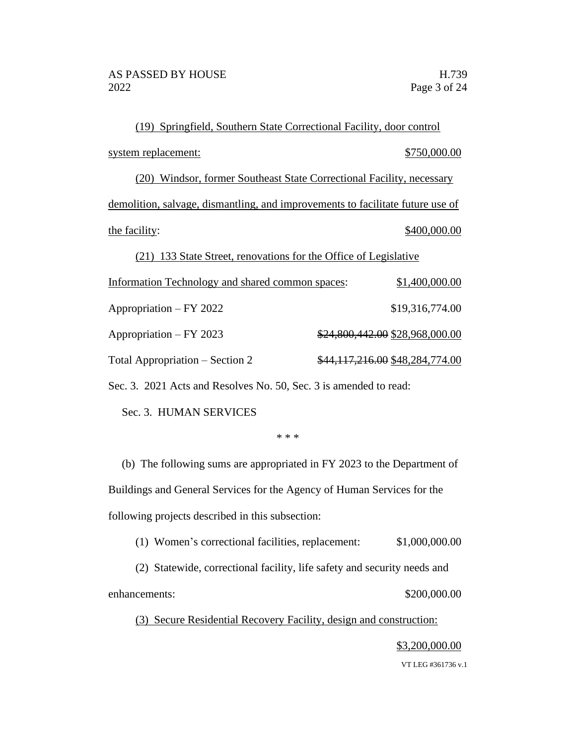(19) Springfield, Southern State Correctional Facility, door control system replacement:  $$750,000.00$ (20) Windsor, former Southeast State Correctional Facility, necessary demolition, salvage, dismantling, and improvements to facilitate future use of the facility:  $$400,000.00$ (21) 133 State Street, renovations for the Office of Legislative Information Technology and shared common spaces: \$1,400,000.00 Appropriation – FY 2022 \$19,316,774.00 Appropriation – FY 2023 \$24,800,442.00 \$28,968,000.00 Total Appropriation – Section 2  $$44,117,216.00 $48,284,774.00$ 

Sec. 3. 2021 Acts and Resolves No. 50, Sec. 3 is amended to read:

Sec. 3. HUMAN SERVICES

\* \* \*

(b) The following sums are appropriated in FY 2023 to the Department of Buildings and General Services for the Agency of Human Services for the following projects described in this subsection:

(1) Women's correctional facilities, replacement: \$1,000,000.00

(2) Statewide, correctional facility, life safety and security needs and enhancements:  $$200,000.00$ 

(3) Secure Residential Recovery Facility, design and construction:

# \$3,200,000.00

VT LEG #361736 v.1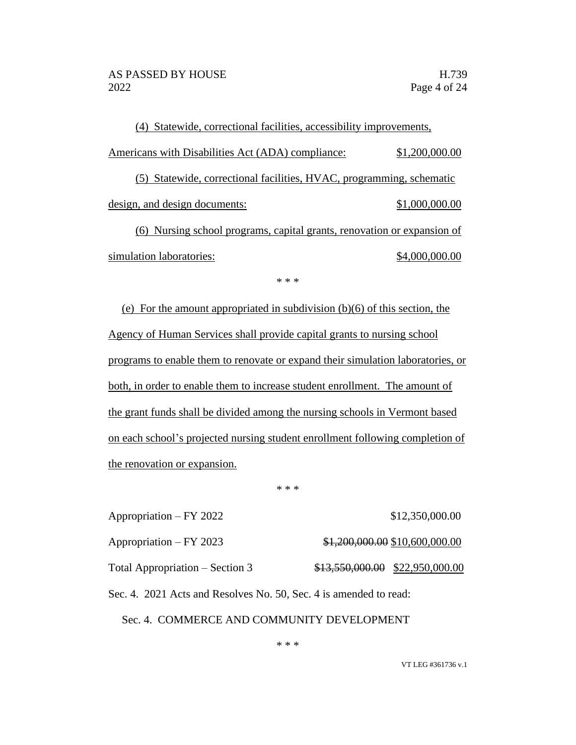(4) Statewide, correctional facilities, accessibility improvements, Americans with Disabilities Act (ADA) compliance:  $$1,200,000.00$ (5) Statewide, correctional facilities, HVAC, programming, schematic design, and design documents:  $$1,000,000.00$ (6) Nursing school programs, capital grants, renovation or expansion of simulation laboratories:  $\qquad \qquad$  \$4,000,000.00

\* \* \*

(e) For the amount appropriated in subdivision (b)(6) of this section, the Agency of Human Services shall provide capital grants to nursing school programs to enable them to renovate or expand their simulation laboratories, or both, in order to enable them to increase student enrollment. The amount of the grant funds shall be divided among the nursing schools in Vermont based on each school's projected nursing student enrollment following completion of the renovation or expansion.

\* \* \*

| Appropriation – FY 2022                                           |  | \$12,350,000.00                   |  |  |
|-------------------------------------------------------------------|--|-----------------------------------|--|--|
| Appropriation – FY 2023                                           |  | $$1,200,000.00$ \$10,600,000.00   |  |  |
| Total Appropriation – Section 3                                   |  | $$13,550,000.00$ $$22,950,000.00$ |  |  |
| Sec. 4. 2021 Acts and Resolves No. 50, Sec. 4 is amended to read: |  |                                   |  |  |
| Sec. 4. COMMERCE AND COMMUNITY DEVELOPMENT                        |  |                                   |  |  |

VT LEG #361736 v.1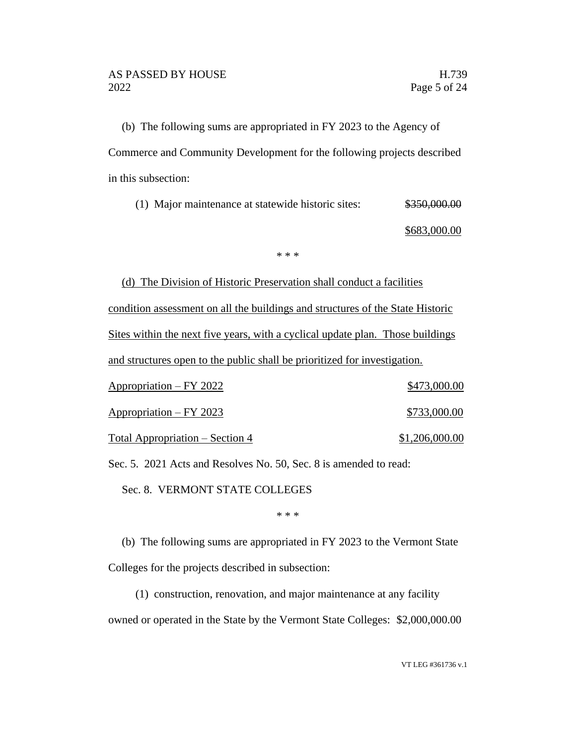(b) The following sums are appropriated in FY 2023 to the Agency of Commerce and Community Development for the following projects described in this subsection:

(1) Major maintenance at statewide historic sites:  $\frac{$350,000.00}{5000}$ 

\$683,000.00

\* \* \*

(d) The Division of Historic Preservation shall conduct a facilities condition assessment on all the buildings and structures of the State Historic Sites within the next five years, with a cyclical update plan. Those buildings and structures open to the public shall be prioritized for investigation.

| Appropriation – FY 2022         | \$473,000.00   |
|---------------------------------|----------------|
| Appropriation – FY 2023         | \$733,000.00   |
| Total Appropriation – Section 4 | \$1,206,000.00 |

Sec. 5. 2021 Acts and Resolves No. 50, Sec. 8 is amended to read:

Sec. 8. VERMONT STATE COLLEGES

\* \* \*

(b) The following sums are appropriated in FY 2023 to the Vermont State Colleges for the projects described in subsection:

(1) construction, renovation, and major maintenance at any facility owned or operated in the State by the Vermont State Colleges: \$2,000,000.00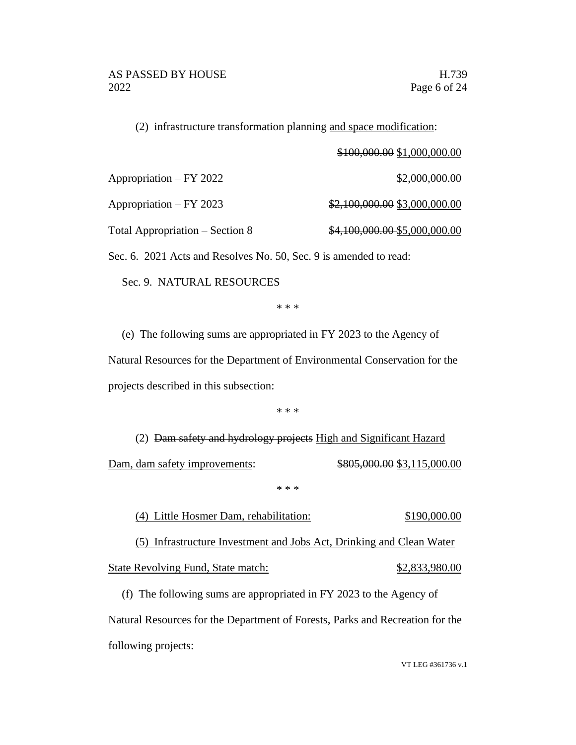(2) infrastructure transformation planning and space modification:

\$100,000.00 \$1,000,000.00

Appropriation – FY 2022 \$2,000,000.00

Appropriation – FY 2023  $\frac{$2,100,000.00 \ $3,000,000.00}{}$ 

Total Appropriation – Section 8  $\frac{$4,100,000.00}{\$5,000,000.00}$ 

Sec. 6. 2021 Acts and Resolves No. 50, Sec. 9 is amended to read:

Sec. 9. NATURAL RESOURCES

\* \* \*

(e) The following sums are appropriated in FY 2023 to the Agency of Natural Resources for the Department of Environmental Conservation for the projects described in this subsection:

\* \* \*

(2) Dam safety and hydrology projects High and Significant Hazard Dam, dam safety improvements: \$805,000.00 \$3,115,000.00

#### \* \* \*

(4) Little Hosmer Dam, rehabilitation: \$190,000.00 (5) Infrastructure Investment and Jobs Act, Drinking and Clean Water

State Revolving Fund, State match: \$2,833,980.00

(f) The following sums are appropriated in FY 2023 to the Agency of Natural Resources for the Department of Forests, Parks and Recreation for the following projects: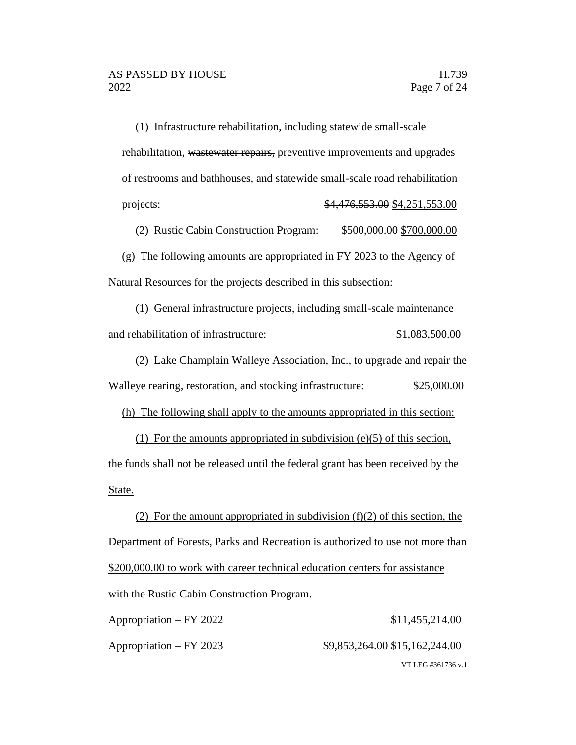(1) Infrastructure rehabilitation, including statewide small-scale rehabilitation, wastewater repairs, preventive improvements and upgrades of restrooms and bathhouses, and statewide small-scale road rehabilitation projects: \$4,476,553.00 \$4,251,553.00

(2) Rustic Cabin Construction Program: \$500,000.00 \$700,000.00

(g) The following amounts are appropriated in FY 2023 to the Agency of Natural Resources for the projects described in this subsection:

(1) General infrastructure projects, including small-scale maintenance and rehabilitation of infrastructure: \$1,083,500.00

(2) Lake Champlain Walleye Association, Inc., to upgrade and repair the Walleye rearing, restoration, and stocking infrastructure: \$25,000.00

(h) The following shall apply to the amounts appropriated in this section:

(1) For the amounts appropriated in subdivision (e)(5) of this section, the funds shall not be released until the federal grant has been received by the State.

(2) For the amount appropriated in subdivision  $(f)(2)$  of this section, the Department of Forests, Parks and Recreation is authorized to use not more than \$200,000.00 to work with career technical education centers for assistance with the Rustic Cabin Construction Program.

VT LEG #361736 v.1 Appropriation – FY 2022 \$11,455,214.00 Appropriation – FY 2023 \$9,853,264.00 \$15,162,244.00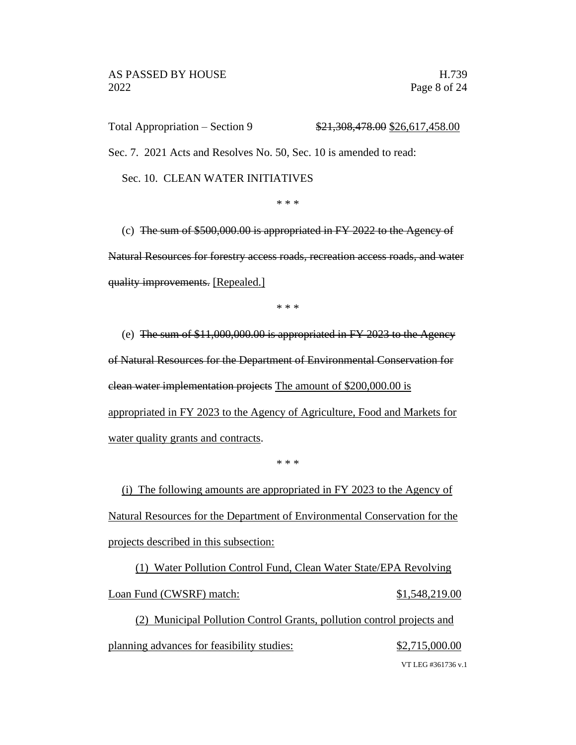Total Appropriation – Section 9  $$21,308,478.00$  \$26,617,458.00

Sec. 7. 2021 Acts and Resolves No. 50, Sec. 10 is amended to read:

Sec. 10. CLEAN WATER INITIATIVES

\* \* \*

(c) The sum of \$500,000.00 is appropriated in FY 2022 to the Agency of Natural Resources for forestry access roads, recreation access roads, and water quality improvements. [Repealed.]

\* \* \*

(e) The sum of \$11,000,000.00 is appropriated in FY 2023 to the Agency of Natural Resources for the Department of Environmental Conservation for clean water implementation projects The amount of \$200,000.00 is appropriated in FY 2023 to the Agency of Agriculture, Food and Markets for water quality grants and contracts.

\* \* \*

(i) The following amounts are appropriated in FY 2023 to the Agency of Natural Resources for the Department of Environmental Conservation for the projects described in this subsection:

(1) Water Pollution Control Fund, Clean Water State/EPA Revolving Loan Fund (CWSRF) match:  $$1,548,219.00$ 

(2) Municipal Pollution Control Grants, pollution control projects and planning advances for feasibility studies:  $$2,715,000.00$ 

VT LEG #361736 v.1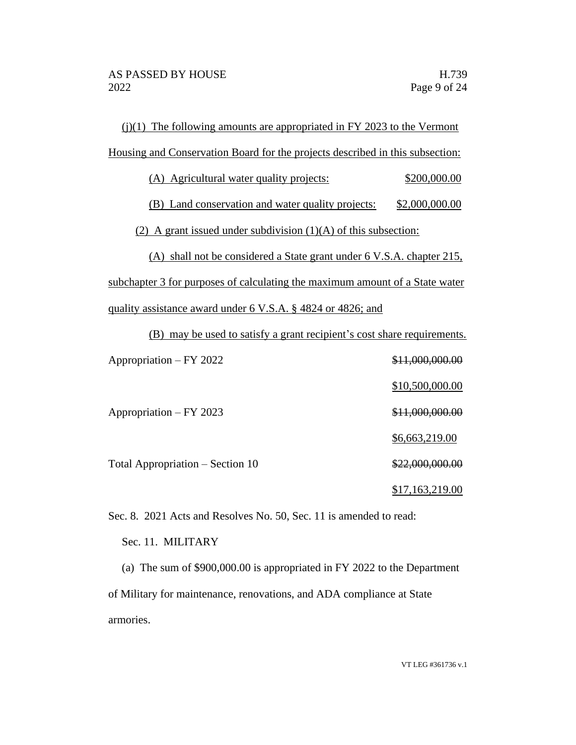| $(j)(1)$ The following amounts are appropriated in FY 2023 to the Vermont     |                 |  |  |
|-------------------------------------------------------------------------------|-----------------|--|--|
| Housing and Conservation Board for the projects described in this subsection: |                 |  |  |
| (A) Agricultural water quality projects:                                      | \$200,000.00    |  |  |
| (B) Land conservation and water quality projects:                             | \$2,000,000.00  |  |  |
| (2) A grant issued under subdivision $(1)(A)$ of this subsection:             |                 |  |  |
| (A) shall not be considered a State grant under 6 V.S.A. chapter 215,         |                 |  |  |
| subchapter 3 for purposes of calculating the maximum amount of a State water  |                 |  |  |
| quality assistance award under 6 V.S.A. § 4824 or 4826; and                   |                 |  |  |
| (B) may be used to satisfy a grant recipient's cost share requirements.       |                 |  |  |
| Appropriation – FY 2022                                                       | \$11,000,000.00 |  |  |
|                                                                               | \$10,500,000.00 |  |  |
| Appropriation - FY 2023                                                       | \$11,000,000.00 |  |  |
|                                                                               | \$6,663,219.00  |  |  |
| Total Appropriation - Section 10                                              | \$22,000,000.00 |  |  |
|                                                                               | \$17,163,219.00 |  |  |

Sec. 8. 2021 Acts and Resolves No. 50, Sec. 11 is amended to read:

Sec. 11. MILITARY

(a) The sum of \$900,000.00 is appropriated in FY 2022 to the Department of Military for maintenance, renovations, and ADA compliance at State armories.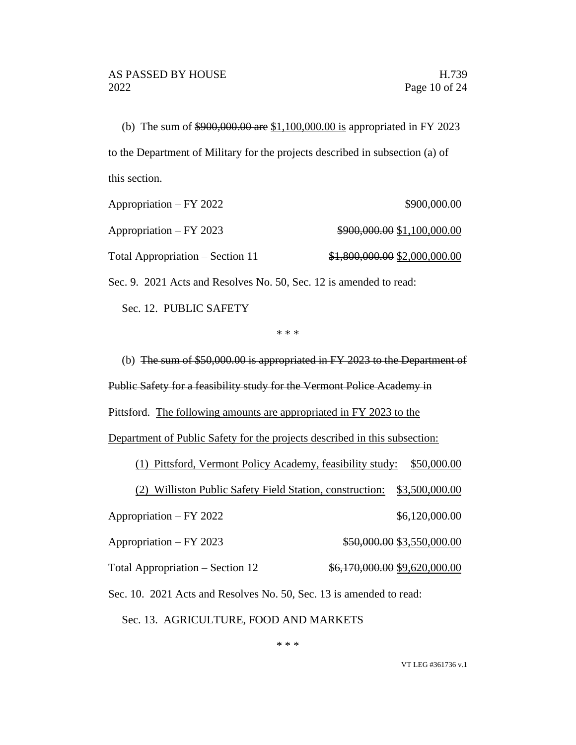(b) The sum of \$900,000.00 are \$1,100,000.00 is appropriated in FY 2023 to the Department of Military for the projects described in subsection (a) of this section.

| Appropriation – FY 2022          | \$900,000.00                  |
|----------------------------------|-------------------------------|
| Appropriation – FY 2023          | \$900,000.00 \$1,100,000.00   |
| Total Appropriation – Section 11 | \$1,800,000.00 \$2,000,000.00 |

Sec. 9. 2021 Acts and Resolves No. 50, Sec. 12 is amended to read:

Sec. 12. PUBLIC SAFETY

\* \* \*

(b) The sum of \$50,000.00 is appropriated in FY 2023 to the Department of Public Safety for a feasibility study for the Vermont Police Academy in Pittsford. The following amounts are appropriated in FY 2023 to the Department of Public Safety for the projects described in this subsection: (1) Pittsford, Vermont Policy Academy, feasibility study: \$50,000.00 (2) Williston Public Safety Field Station, construction: \$3,500,000.00 Appropriation – FY 2022 \$6,120,000.00

Appropriation – FY 2023 \$50,000.00 \$3,550,000.00

Total Appropriation – Section 12  $\frac{$6,170,000.00}{$9,620,000.00}$ 

Sec. 10. 2021 Acts and Resolves No. 50, Sec. 13 is amended to read:

Sec. 13. AGRICULTURE, FOOD AND MARKETS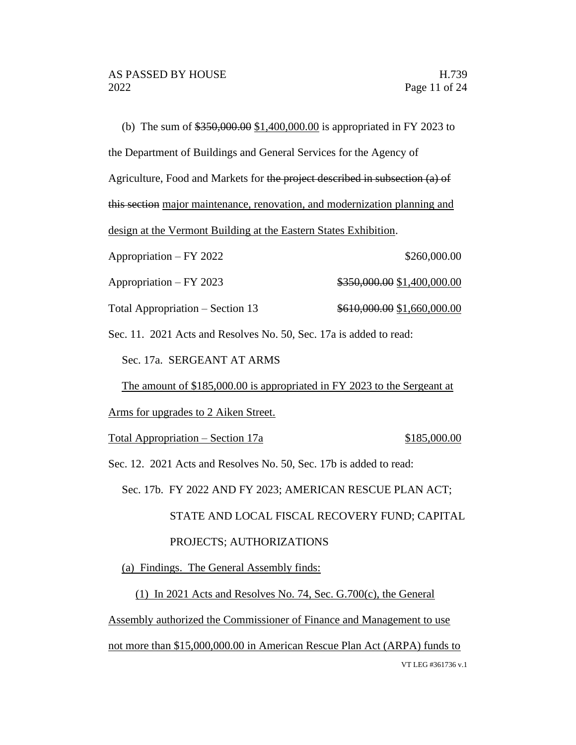(b) The sum of \$350,000.00 \$1,400,000.00 is appropriated in FY 2023 to the Department of Buildings and General Services for the Agency of Agriculture, Food and Markets for the project described in subsection (a) of this section major maintenance, renovation, and modernization planning and design at the Vermont Building at the Eastern States Exhibition. Appropriation – FY 2022 \$260,000.00 Appropriation – FY 2023  $\qquad\qquad$  \$350,000.00 \$1,400,000.00

Total Appropriation – Section 13  $\frac{$610,000.00}{$1,660,000.00}$ 

Sec. 11. 2021 Acts and Resolves No. 50, Sec. 17a is added to read:

Sec. 17a. SERGEANT AT ARMS

The amount of \$185,000.00 is appropriated in FY 2023 to the Sergeant at

Arms for upgrades to 2 Aiken Street.

Total Appropriation – Section 17a \$185,000.00

Sec. 12. 2021 Acts and Resolves No. 50, Sec. 17b is added to read:

Sec. 17b. FY 2022 AND FY 2023; AMERICAN RESCUE PLAN ACT;

STATE AND LOCAL FISCAL RECOVERY FUND; CAPITAL

#### PROJECTS; AUTHORIZATIONS

(a) Findings. The General Assembly finds:

(1) In 2021 Acts and Resolves No. 74, Sec. G.700(c), the General

Assembly authorized the Commissioner of Finance and Management to use

VT LEG #361736 v.1 not more than \$15,000,000.00 in American Rescue Plan Act (ARPA) funds to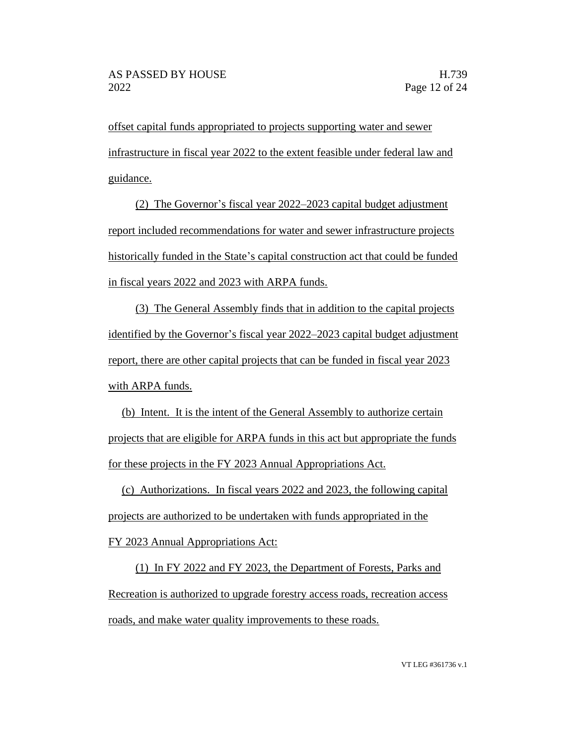offset capital funds appropriated to projects supporting water and sewer infrastructure in fiscal year 2022 to the extent feasible under federal law and guidance.

(2) The Governor's fiscal year 2022–2023 capital budget adjustment report included recommendations for water and sewer infrastructure projects historically funded in the State's capital construction act that could be funded in fiscal years 2022 and 2023 with ARPA funds.

(3) The General Assembly finds that in addition to the capital projects identified by the Governor's fiscal year 2022–2023 capital budget adjustment report, there are other capital projects that can be funded in fiscal year 2023 with ARPA funds.

(b) Intent. It is the intent of the General Assembly to authorize certain projects that are eligible for ARPA funds in this act but appropriate the funds for these projects in the FY 2023 Annual Appropriations Act.

(c) Authorizations. In fiscal years 2022 and 2023, the following capital projects are authorized to be undertaken with funds appropriated in the FY 2023 Annual Appropriations Act:

(1) In FY 2022 and FY 2023, the Department of Forests, Parks and Recreation is authorized to upgrade forestry access roads, recreation access roads, and make water quality improvements to these roads.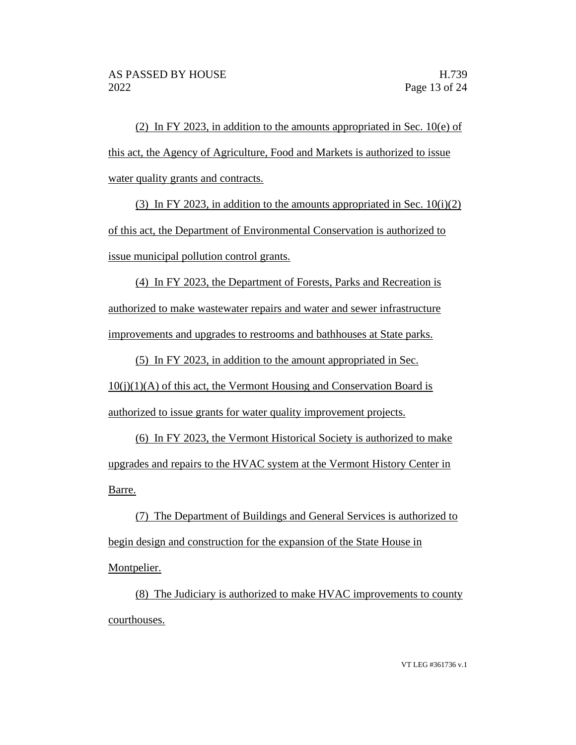(2) In FY 2023, in addition to the amounts appropriated in Sec. 10(e) of this act, the Agency of Agriculture, Food and Markets is authorized to issue water quality grants and contracts.

(3) In FY 2023, in addition to the amounts appropriated in Sec.  $10(i)(2)$ of this act, the Department of Environmental Conservation is authorized to issue municipal pollution control grants.

(4) In FY 2023, the Department of Forests, Parks and Recreation is authorized to make wastewater repairs and water and sewer infrastructure improvements and upgrades to restrooms and bathhouses at State parks.

(5) In FY 2023, in addition to the amount appropriated in Sec.  $10(i)(1)(A)$  of this act, the Vermont Housing and Conservation Board is authorized to issue grants for water quality improvement projects.

(6) In FY 2023, the Vermont Historical Society is authorized to make upgrades and repairs to the HVAC system at the Vermont History Center in Barre.

(7) The Department of Buildings and General Services is authorized to begin design and construction for the expansion of the State House in Montpelier.

(8) The Judiciary is authorized to make HVAC improvements to county courthouses.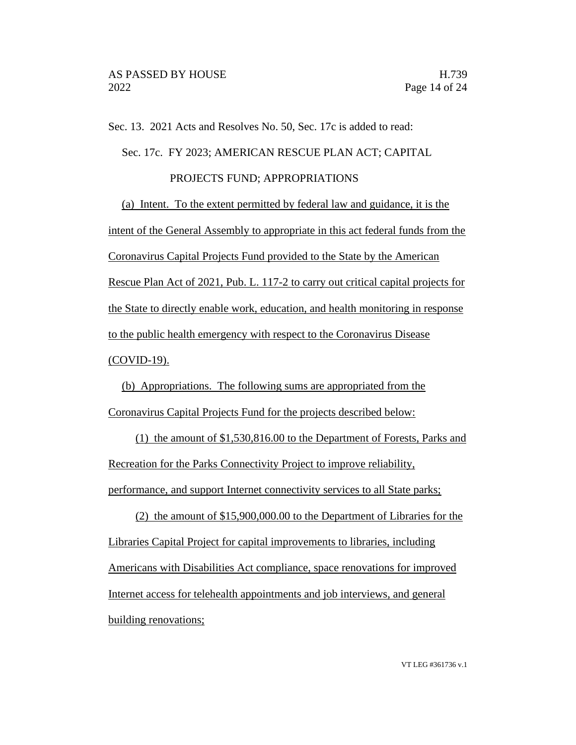Sec. 13. 2021 Acts and Resolves No. 50, Sec. 17c is added to read:

Sec. 17c. FY 2023; AMERICAN RESCUE PLAN ACT; CAPITAL

### PROJECTS FUND; APPROPRIATIONS

(a) Intent. To the extent permitted by federal law and guidance, it is the intent of the General Assembly to appropriate in this act federal funds from the Coronavirus Capital Projects Fund provided to the State by the American Rescue Plan Act of 2021, Pub. L. 117-2 to carry out critical capital projects for the State to directly enable work, education, and health monitoring in response to the public health emergency with respect to the Coronavirus Disease (COVID-19).

(b) Appropriations. The following sums are appropriated from the Coronavirus Capital Projects Fund for the projects described below:

(1) the amount of \$1,530,816.00 to the Department of Forests, Parks and Recreation for the Parks Connectivity Project to improve reliability, performance, and support Internet connectivity services to all State parks;

(2) the amount of \$15,900,000.00 to the Department of Libraries for the Libraries Capital Project for capital improvements to libraries, including Americans with Disabilities Act compliance, space renovations for improved Internet access for telehealth appointments and job interviews, and general building renovations;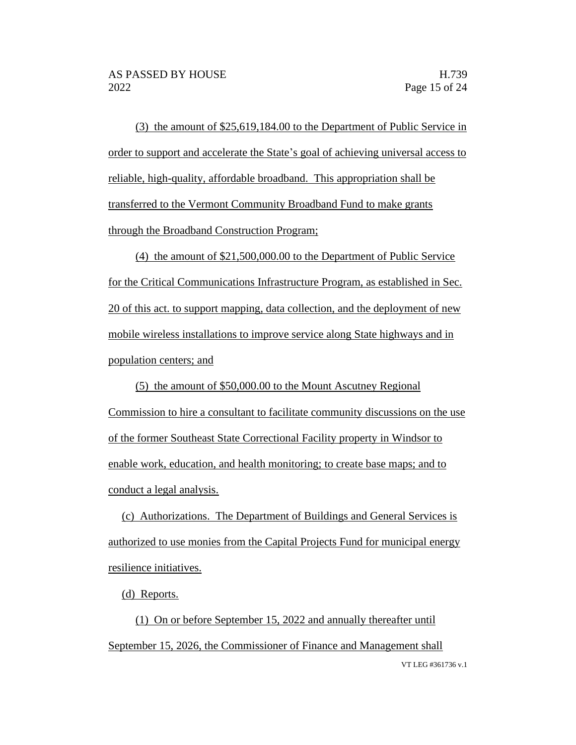(3) the amount of \$25,619,184.00 to the Department of Public Service in order to support and accelerate the State's goal of achieving universal access to reliable, high-quality, affordable broadband. This appropriation shall be transferred to the Vermont Community Broadband Fund to make grants through the Broadband Construction Program;

(4) the amount of \$21,500,000.00 to the Department of Public Service for the Critical Communications Infrastructure Program, as established in Sec. 20 of this act. to support mapping, data collection, and the deployment of new mobile wireless installations to improve service along State highways and in population centers; and

(5) the amount of \$50,000.00 to the Mount Ascutney Regional Commission to hire a consultant to facilitate community discussions on the use of the former Southeast State Correctional Facility property in Windsor to enable work, education, and health monitoring; to create base maps; and to conduct a legal analysis.

(c) Authorizations. The Department of Buildings and General Services is authorized to use monies from the Capital Projects Fund for municipal energy resilience initiatives.

(d) Reports.

VT LEG #361736 v.1 (1) On or before September 15, 2022 and annually thereafter until September 15, 2026, the Commissioner of Finance and Management shall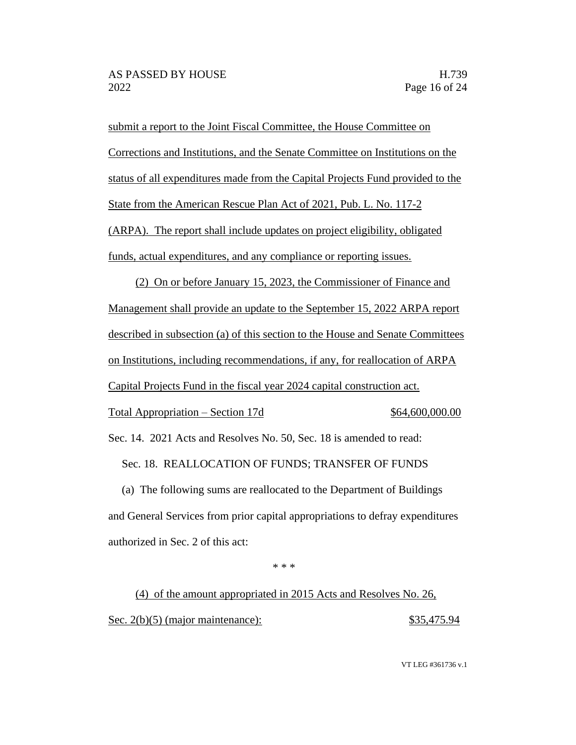submit a report to the Joint Fiscal Committee, the House Committee on Corrections and Institutions, and the Senate Committee on Institutions on the status of all expenditures made from the Capital Projects Fund provided to the State from the American Rescue Plan Act of 2021, Pub. L. No. 117-2 (ARPA). The report shall include updates on project eligibility, obligated funds, actual expenditures, and any compliance or reporting issues.

(2) On or before January 15, 2023, the Commissioner of Finance and Management shall provide an update to the September 15, 2022 ARPA report described in subsection (a) of this section to the House and Senate Committees on Institutions, including recommendations, if any, for reallocation of ARPA Capital Projects Fund in the fiscal year 2024 capital construction act. Total Appropriation – Section 17d  $$64,600,000.00$ Sec. 14. 2021 Acts and Resolves No. 50, Sec. 18 is amended to read: Sec. 18. REALLOCATION OF FUNDS; TRANSFER OF FUNDS

(a) The following sums are reallocated to the Department of Buildings and General Services from prior capital appropriations to defray expenditures authorized in Sec. 2 of this act:

\* \* \*

(4) of the amount appropriated in 2015 Acts and Resolves No. 26, Sec. 2(b)(5) (major maintenance): \$35,475.94

VT LEG #361736 v.1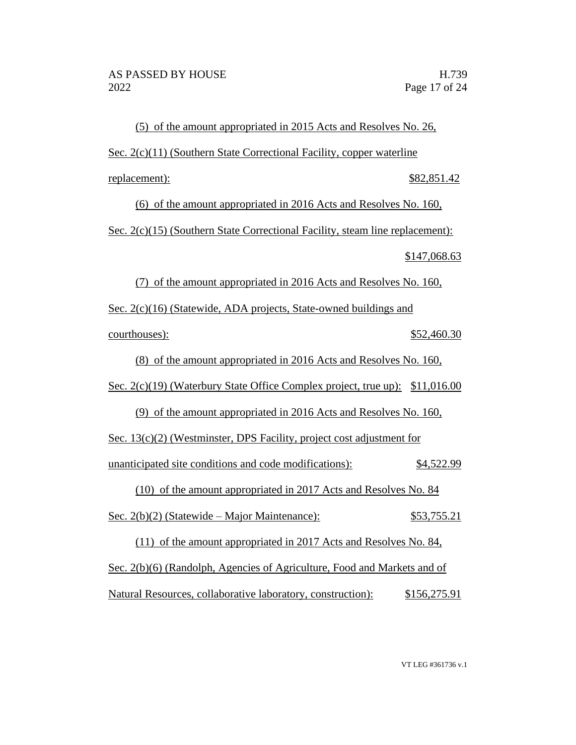(5) of the amount appropriated in 2015 Acts and Resolves No. 26, Sec. 2(c)(11) (Southern State Correctional Facility, copper waterline replacement):  $$82,851.42$ (6) of the amount appropriated in 2016 Acts and Resolves No. 160, Sec. 2(c)(15) (Southern State Correctional Facility, steam line replacement): \$147,068.63 (7) of the amount appropriated in 2016 Acts and Resolves No. 160, Sec. 2(c)(16) (Statewide, ADA projects, State-owned buildings and courthouses):  $$52,460.30$ (8) of the amount appropriated in 2016 Acts and Resolves No. 160, Sec. 2(c)(19) (Waterbury State Office Complex project, true up): \$11,016.00 (9) of the amount appropriated in 2016 Acts and Resolves No. 160, Sec. 13(c)(2) (Westminster, DPS Facility, project cost adjustment for unanticipated site conditions and code modifications): \$4,522.99 (10) of the amount appropriated in 2017 Acts and Resolves No. 84 Sec.  $2(b)(2)$  (Statewide – Major Maintenance):  $$53,755.21$ (11) of the amount appropriated in 2017 Acts and Resolves No. 84, Sec. 2(b)(6) (Randolph, Agencies of Agriculture, Food and Markets and of Natural Resources, collaborative laboratory, construction): \$156,275.91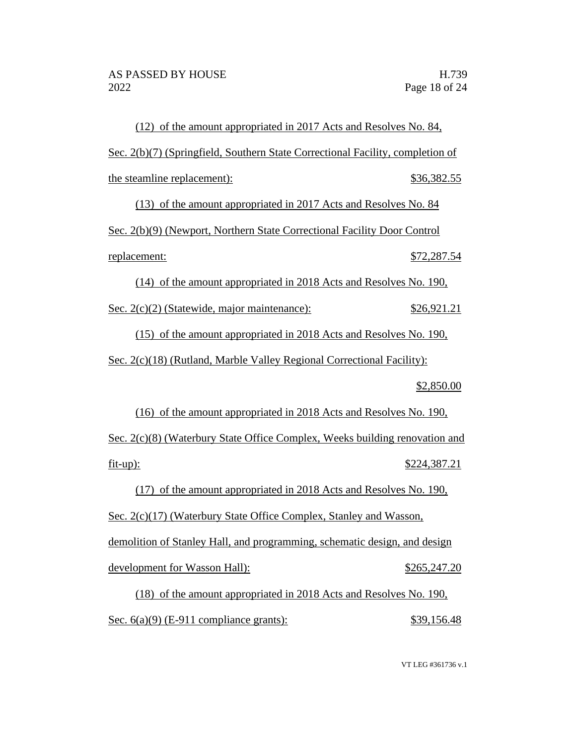(12) of the amount appropriated in 2017 Acts and Resolves No. 84, Sec. 2(b)(7) (Springfield, Southern State Correctional Facility, completion of the steamline replacement):  $$36,382.55$ (13) of the amount appropriated in 2017 Acts and Resolves No. 84 Sec. 2(b)(9) (Newport, Northern State Correctional Facility Door Control replacement: \$72,287.54 (14) of the amount appropriated in 2018 Acts and Resolves No. 190, Sec. 2(c)(2) (Statewide, major maintenance): \$26,921.21 (15) of the amount appropriated in 2018 Acts and Resolves No. 190, Sec. 2(c)(18) (Rutland, Marble Valley Regional Correctional Facility): \$2,850.00 (16) of the amount appropriated in 2018 Acts and Resolves No. 190, Sec. 2(c)(8) (Waterbury State Office Complex, Weeks building renovation and fit-up): \$224,387.21 (17) of the amount appropriated in 2018 Acts and Resolves No. 190, Sec. 2(c)(17) (Waterbury State Office Complex, Stanley and Wasson, demolition of Stanley Hall, and programming, schematic design, and design development for Wasson Hall):  $$265,247.20$ (18) of the amount appropriated in 2018 Acts and Resolves No. 190,

Sec. 6(a)(9) (E-911 compliance grants):  $$39,156.48$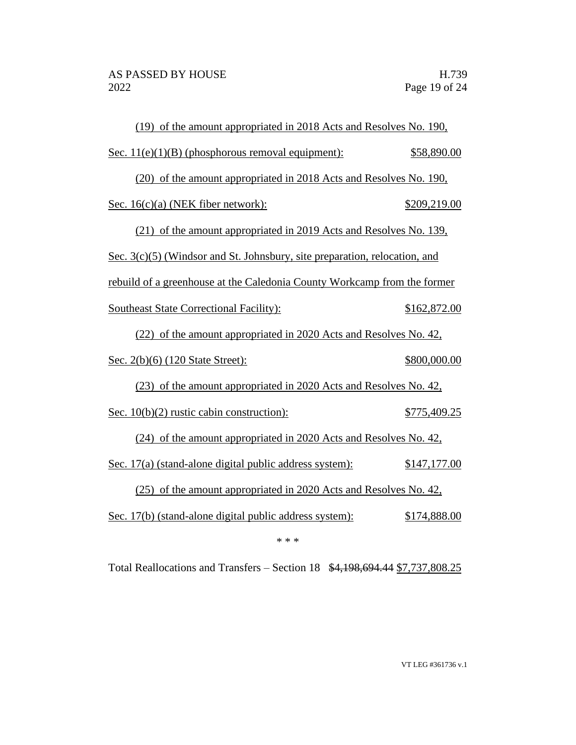| (19) of the amount appropriated in 2018 Acts and Resolves No. 190,         |              |  |  |
|----------------------------------------------------------------------------|--------------|--|--|
| Sec. $11(e)(1)(B)$ (phosphorous removal equipment):                        | \$58,890.00  |  |  |
| (20) of the amount appropriated in 2018 Acts and Resolves No. 190,         |              |  |  |
| Sec. 16(c)(a) (NEK fiber network):                                         | \$209,219.00 |  |  |
| (21) of the amount appropriated in 2019 Acts and Resolves No. 139,         |              |  |  |
| Sec. 3(c)(5) (Windsor and St. Johnsbury, site preparation, relocation, and |              |  |  |
| rebuild of a greenhouse at the Caledonia County Workcamp from the former   |              |  |  |
| <b>Southeast State Correctional Facility:</b>                              | \$162,872.00 |  |  |
| (22) of the amount appropriated in 2020 Acts and Resolves No. 42,          |              |  |  |
| <u>Sec. 2(b)(6) (120 State Street):</u>                                    | \$800,000.00 |  |  |
| (23) of the amount appropriated in 2020 Acts and Resolves No. 42,          |              |  |  |
| Sec. $10(b)(2)$ rustic cabin construction):                                | \$775,409.25 |  |  |
| (24) of the amount appropriated in 2020 Acts and Resolves No. 42,          |              |  |  |
| Sec. 17(a) (stand-alone digital public address system):                    | \$147,177.00 |  |  |
| (25) of the amount appropriated in 2020 Acts and Resolves No. 42,          |              |  |  |
| Sec. 17(b) (stand-alone digital public address system):                    | \$174,888.00 |  |  |
| * * *                                                                      |              |  |  |

Total Reallocations and Transfers – Section 18 \$4,198,694.44 \$7,737,808.25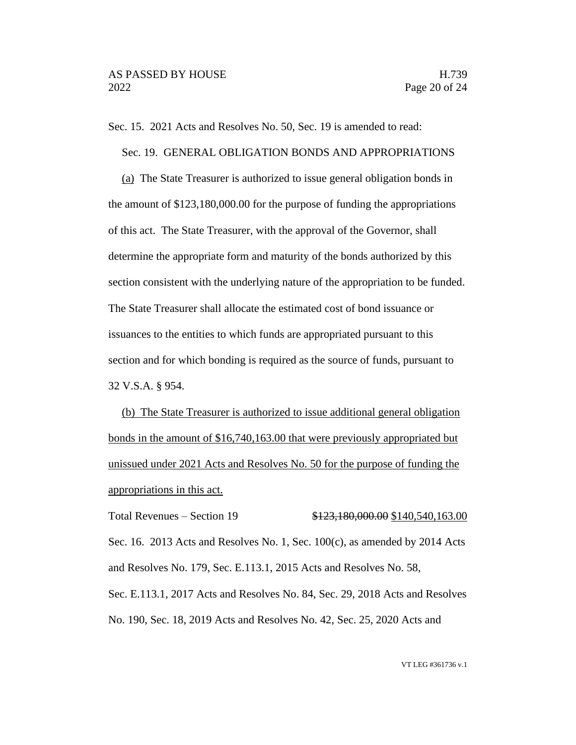Sec. 15. 2021 Acts and Resolves No. 50, Sec. 19 is amended to read:

Sec. 19. GENERAL OBLIGATION BONDS AND APPROPRIATIONS

(a) The State Treasurer is authorized to issue general obligation bonds in the amount of \$123,180,000.00 for the purpose of funding the appropriations of this act. The State Treasurer, with the approval of the Governor, shall determine the appropriate form and maturity of the bonds authorized by this section consistent with the underlying nature of the appropriation to be funded. The State Treasurer shall allocate the estimated cost of bond issuance or issuances to the entities to which funds are appropriated pursuant to this section and for which bonding is required as the source of funds, pursuant to 32 V.S.A. § 954.

(b) The State Treasurer is authorized to issue additional general obligation bonds in the amount of \$16,740,163.00 that were previously appropriated but unissued under 2021 Acts and Resolves No. 50 for the purpose of funding the appropriations in this act.

Total Revenues – Section 19 \$123,180,000.00 \$140,540,163.00 Sec. 16. 2013 Acts and Resolves No. 1, Sec.  $100(c)$ , as amended by 2014 Acts and Resolves No. 179, Sec. E.113.1, 2015 Acts and Resolves No. 58, Sec. E.113.1, 2017 Acts and Resolves No. 84, Sec. 29, 2018 Acts and Resolves No. 190, Sec. 18, 2019 Acts and Resolves No. 42, Sec. 25, 2020 Acts and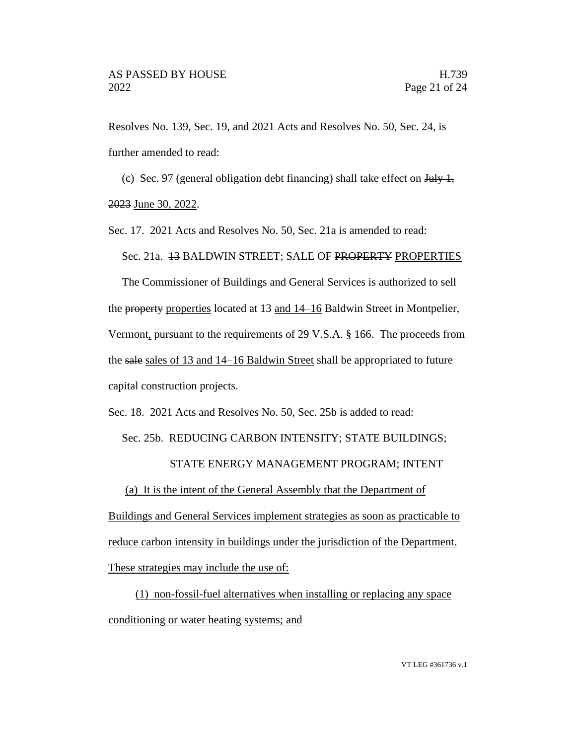Resolves No. 139, Sec. 19, and 2021 Acts and Resolves No. 50, Sec. 24, is further amended to read:

(c) Sec. 97 (general obligation debt financing) shall take effect on  $\frac{\text{H}}{\text{H}}$ ,

2023 June 30, 2022.

Sec. 17. 2021 Acts and Resolves No. 50, Sec. 21a is amended to read:

Sec. 21a. 13 BALDWIN STREET; SALE OF PROPERTY PROPERTIES

The Commissioner of Buildings and General Services is authorized to sell the property properties located at 13 and 14–16 Baldwin Street in Montpelier, Vermont, pursuant to the requirements of 29 V.S.A. § 166. The proceeds from the sale sales of 13 and 14–16 Baldwin Street shall be appropriated to future capital construction projects.

Sec. 18. 2021 Acts and Resolves No. 50, Sec. 25b is added to read:

Sec. 25b. REDUCING CARBON INTENSITY; STATE BUILDINGS;

# STATE ENERGY MANAGEMENT PROGRAM; INTENT

(a) It is the intent of the General Assembly that the Department of

Buildings and General Services implement strategies as soon as practicable to reduce carbon intensity in buildings under the jurisdiction of the Department. These strategies may include the use of:

(1) non-fossil-fuel alternatives when installing or replacing any space conditioning or water heating systems; and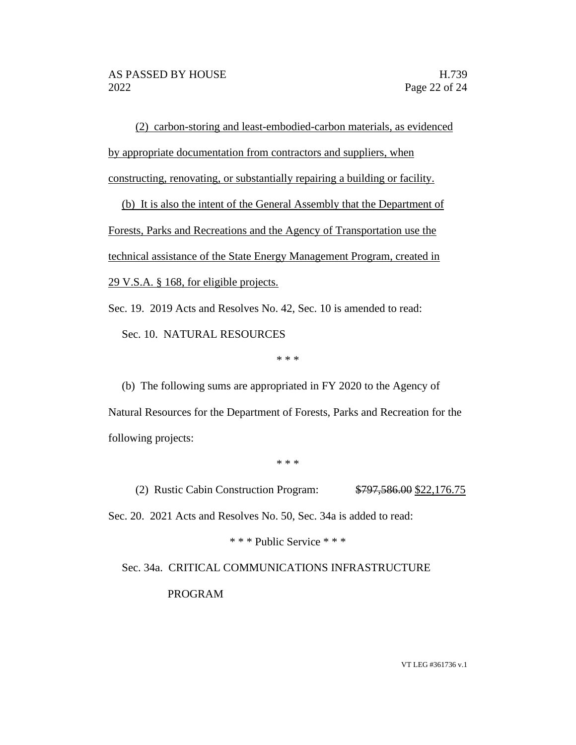(2) carbon-storing and least-embodied-carbon materials, as evidenced by appropriate documentation from contractors and suppliers, when constructing, renovating, or substantially repairing a building or facility.

(b) It is also the intent of the General Assembly that the Department of Forests, Parks and Recreations and the Agency of Transportation use the technical assistance of the State Energy Management Program, created in 29 V.S.A. § 168, for eligible projects.

Sec. 19. 2019 Acts and Resolves No. 42, Sec. 10 is amended to read:

Sec. 10. NATURAL RESOURCES

\* \* \*

(b) The following sums are appropriated in FY 2020 to the Agency of Natural Resources for the Department of Forests, Parks and Recreation for the following projects:

\* \* \*

(2) Rustic Cabin Construction Program: \$797,586.00 \$22,176.75

Sec. 20. 2021 Acts and Resolves No. 50, Sec. 34a is added to read:

\* \* \* Public Service \* \* \*

# Sec. 34a. CRITICAL COMMUNICATIONS INFRASTRUCTURE PROGRAM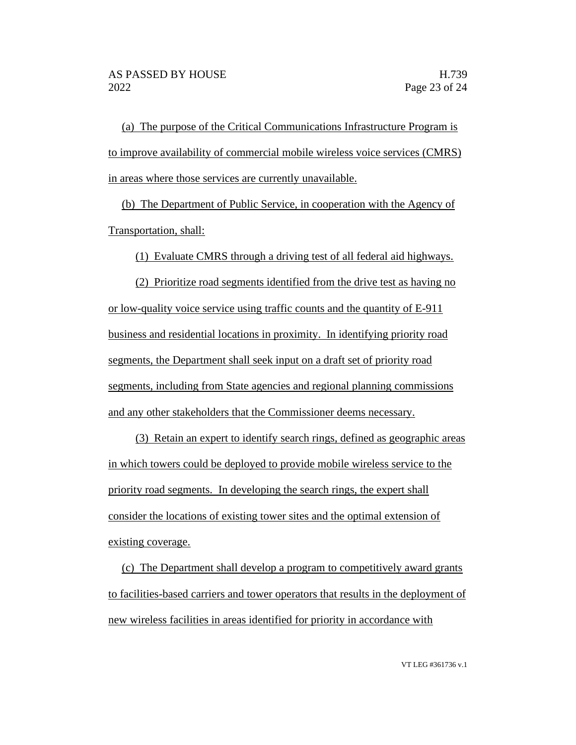(a) The purpose of the Critical Communications Infrastructure Program is to improve availability of commercial mobile wireless voice services (CMRS) in areas where those services are currently unavailable.

(b) The Department of Public Service, in cooperation with the Agency of Transportation, shall:

(1) Evaluate CMRS through a driving test of all federal aid highways.

(2) Prioritize road segments identified from the drive test as having no or low-quality voice service using traffic counts and the quantity of E-911 business and residential locations in proximity. In identifying priority road segments, the Department shall seek input on a draft set of priority road segments, including from State agencies and regional planning commissions and any other stakeholders that the Commissioner deems necessary.

(3) Retain an expert to identify search rings, defined as geographic areas in which towers could be deployed to provide mobile wireless service to the priority road segments. In developing the search rings, the expert shall consider the locations of existing tower sites and the optimal extension of existing coverage.

(c) The Department shall develop a program to competitively award grants to facilities-based carriers and tower operators that results in the deployment of new wireless facilities in areas identified for priority in accordance with